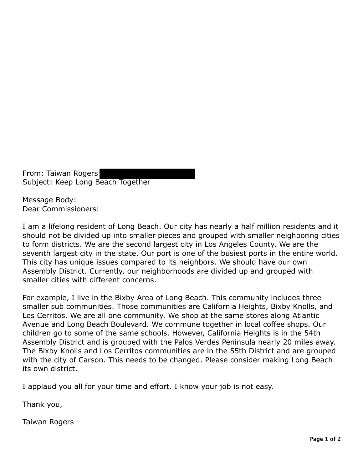From: Taiwan Rogers Subject: Keep Long Beach Together

Message Body: Dear Commissioners:

I am a lifelong resident of Long Beach. Our city has nearly a half million residents and it should not be divided up into smaller pieces and grouped with smaller neighboring cities to form districts. We are the second largest city in Los Angeles County. We are the seventh largest city in the state. Our port is one of the busiest ports in the entire world. This city has unique issues compared to its neighbors. We should have our own Assembly District. Currently, our neighborhoods are divided up and grouped with smaller cities with different concerns.

For example, I live in the Bixby Area of Long Beach. This community includes three smaller sub communities. Those communities are California Heights, Bixby Knolls, and Los Cerritos. We are all one community. We shop at the same stores along Atlantic Avenue and Long Beach Boulevard. We commune together in local coffee shops. Our children go to some of the same schools. However, California Heights is in the 54th Assembly District and is grouped with the Palos Verdes Peninsula nearly 20 miles away. The Bixby Knolls and Los Cerritos communities are in the 55th District and are grouped with the city of Carson. This needs to be changed. Please consider making Long Beach its own district.

I applaud you all for your time and effort. I know your job is not easy.

Thank you,

Taiwan Rogers